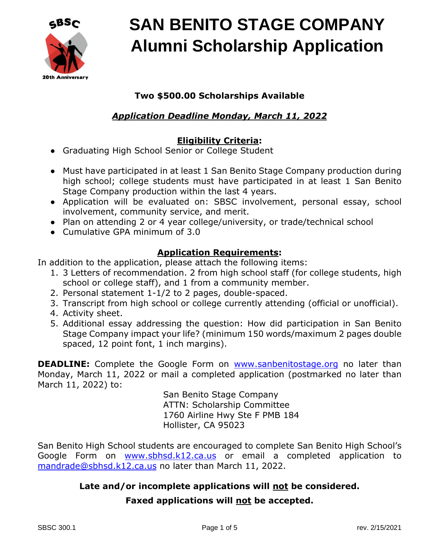

### **Two \$500.00 Scholarships Available**

### *Application Deadline Monday, March 11, 2022*

#### **Eligibility Criteria:**

- Graduating High School Senior or College Student
- Must have participated in at least 1 San Benito Stage Company production during high school; college students must have participated in at least 1 San Benito Stage Company production within the last 4 years.
- Application will be evaluated on: SBSC involvement, personal essay, school involvement, community service, and merit.
- Plan on attending 2 or 4 year college/university, or trade/technical school
- Cumulative GPA minimum of 3.0

#### **Application Requirements:**

In addition to the application, please attach the following items:

- 1. 3 Letters of recommendation. 2 from high school staff (for college students, high school or college staff), and 1 from a community member.
- 2. Personal statement 1-1/2 to 2 pages, double-spaced.
- 3. Transcript from high school or college currently attending (official or unofficial).
- 4. Activity sheet.
- 5. Additional essay addressing the question: How did participation in San Benito Stage Company impact your life? (minimum 150 words/maximum 2 pages double spaced, 12 point font, 1 inch margins).

**DEADLINE:** Complete the Google Form on [www.sanbenitostage.org](http://www.sanbenitostage.org/) no later than Monday, March 11, 2022 or mail a completed application (postmarked no later than March 11, 2022) to:

> San Benito Stage Company ATTN: Scholarship Committee 1760 Airline Hwy Ste F PMB 184 Hollister, CA 95023

San Benito High School students are encouraged to complete San Benito High School's Google Form on [www.sbhsd.k12.ca.us](http://www.sbhsd.k12.ca.us/) or email a completed application to [mandrade@sbhsd.k12.ca.us](mailto:mandrade@sbhsd.k12.ca.us) no later than March 11, 2022.

#### **Late and/or incomplete applications will not be considered.**

#### **Faxed applications will not be accepted.**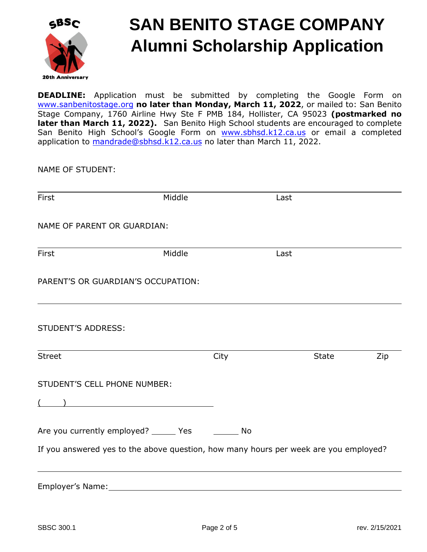

**DEADLINE:** Application must be submitted by completing the Google Form on [www.sanbenitostage.org](http://www.sanbenitostage.org/) **no later than Monday, March 11, 2022**, or mailed to: San Benito Stage Company, 1760 Airline Hwy Ste F PMB 184, Hollister, CA 95023 **(postmarked no later than March 11, 2022).** San Benito High School students are encouraged to complete San Benito High School's Google Form on [www.sbhsd.k](http://www.sbhsd.k12.ca.us/)12.ca.us or email a completed a[pplication to mandrade@sbhsd](mailto:mandrade@sbhsd.k12.ca.us).k12.ca.us no later than March 11, 2022.

NAME OF STUDENT:

| First                                                                                                                                                                                                                                                                                                                              | Middle |      | Last |       |     |
|------------------------------------------------------------------------------------------------------------------------------------------------------------------------------------------------------------------------------------------------------------------------------------------------------------------------------------|--------|------|------|-------|-----|
| NAME OF PARENT OR GUARDIAN:                                                                                                                                                                                                                                                                                                        |        |      |      |       |     |
|                                                                                                                                                                                                                                                                                                                                    |        |      |      |       |     |
| First                                                                                                                                                                                                                                                                                                                              | Middle |      | Last |       |     |
| PARENT'S OR GUARDIAN'S OCCUPATION:                                                                                                                                                                                                                                                                                                 |        |      |      |       |     |
|                                                                                                                                                                                                                                                                                                                                    |        |      |      |       |     |
| STUDENT'S ADDRESS:<br><u> 1989 - Johann Barn, amerikansk politiker (d. 1989)</u>                                                                                                                                                                                                                                                   |        |      |      |       |     |
| Street                                                                                                                                                                                                                                                                                                                             |        | City |      | State | Zip |
| STUDENT'S CELL PHONE NUMBER:                                                                                                                                                                                                                                                                                                       |        |      |      |       |     |
| $\overline{a}$ ( ) and $\overline{a}$ and $\overline{a}$ and $\overline{a}$ and $\overline{a}$ and $\overline{a}$ and $\overline{a}$ and $\overline{a}$ and $\overline{a}$ and $\overline{a}$ and $\overline{a}$ and $\overline{a}$ and $\overline{a}$ and $\overline{a}$ and $\overline{a}$ and $\overline{a}$ and $\overline{a}$ |        |      |      |       |     |
| Are you currently employed? ______ Yes _________ No                                                                                                                                                                                                                                                                                |        |      |      |       |     |
| If you answered yes to the above question, how many hours per week are you employed?                                                                                                                                                                                                                                               |        |      |      |       |     |
| Employer's Name:                                                                                                                                                                                                                                                                                                                   |        |      |      |       |     |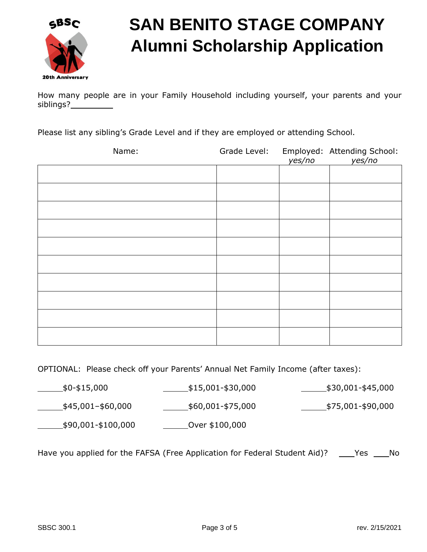

How many people are in your Family Household including yourself, your parents and your siblings?

Please list any sibling's Grade Level and if they are employed or attending School.

| Name: | Grade Level: | yes/no | Employed: Attending School:<br>yes/no |
|-------|--------------|--------|---------------------------------------|
|       |              |        |                                       |
|       |              |        |                                       |
|       |              |        |                                       |
|       |              |        |                                       |
|       |              |        |                                       |
|       |              |        |                                       |
|       |              |        |                                       |
|       |              |        |                                       |
|       |              |        |                                       |
|       |              |        |                                       |

OPTIONAL: Please check off your Parents' Annual Net Family Income (after taxes):

\$0-\$15,000 \$15,001-\$30,000 \$30,001-\$45,000  $\frac{\text{445,001}-\text{460,000}}{\text{450,000}}$   $\frac{\text{450,001}-\text{475,000}}{\text{450,000}}$ \$90,001-\$100,000 Over \$100,000

Have you applied for the FAFSA (Free Application for Federal Student Aid)? \_\_\_\_Yes \_\_\_\_No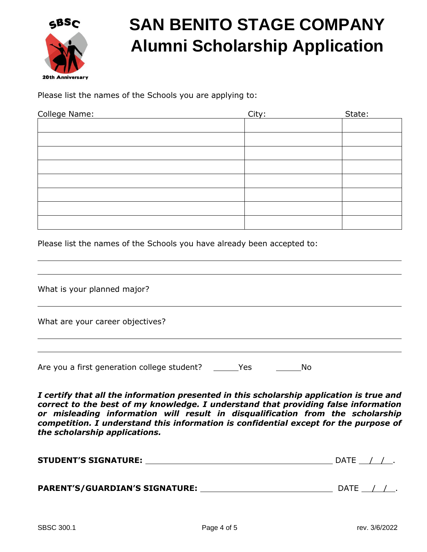

Please list the names of the Schools you are applying to:

| College Name: | City: | State: |
|---------------|-------|--------|
|               |       |        |
|               |       |        |
|               |       |        |
|               |       |        |
|               |       |        |
|               |       |        |
|               |       |        |
|               |       |        |

Please list the names of the Schools you have already been accepted to:

| What is your planned major?                 |     |    |  |
|---------------------------------------------|-----|----|--|
| What are your career objectives?            |     |    |  |
| Are you a first generation college student? | Yes | No |  |

*I certify that all the information presented in this scholarship application is true and correct to the best of my knowledge. I understand that providing false information or misleading information will result in disqualification from the scholarship competition. I understand this information is confidential except for the purpose of the scholarship applications.* 

| <b>STUDENT'S SIGNATURE:</b> | DΔ. |  |
|-----------------------------|-----|--|
|                             |     |  |

| <b>PARENT'S/GUARDIAN'S SIGNATURE:</b><br><b>DATE</b> |  |  |
|------------------------------------------------------|--|--|
|------------------------------------------------------|--|--|